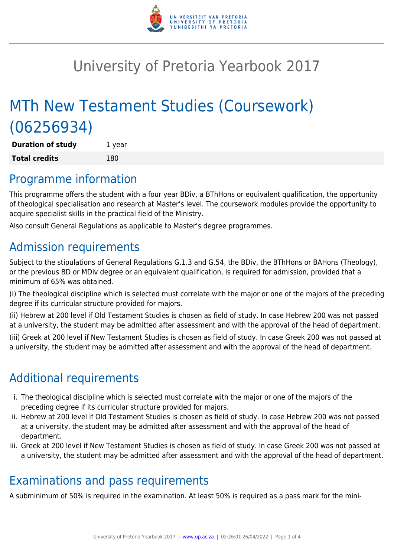

# University of Pretoria Yearbook 2017

# MTh New Testament Studies (Coursework) (06256934)

**Duration of study** 1 year **Total credits** 180

## Programme information

This programme offers the student with a four year BDiv, a BThHons or equivalent qualification, the opportunity of theological specialisation and research at Master's level. The coursework modules provide the opportunity to acquire specialist skills in the practical field of the Ministry.

Also consult General Regulations as applicable to Master's degree programmes.

# Admission requirements

Subject to the stipulations of General Regulations G.1.3 and G.54, the BDiv, the BThHons or BAHons (Theology), or the previous BD or MDiv degree or an equivalent qualification, is required for admission, provided that a minimum of 65% was obtained.

(i) The theological discipline which is selected must correlate with the major or one of the majors of the preceding degree if its curricular structure provided for majors.

(ii) Hebrew at 200 level if Old Testament Studies is chosen as field of study. In case Hebrew 200 was not passed at a university, the student may be admitted after assessment and with the approval of the head of department.

(iii) Greek at 200 level if New Testament Studies is chosen as field of study. In case Greek 200 was not passed at a university, the student may be admitted after assessment and with the approval of the head of department.

# Additional requirements

- i. The theological discipline which is selected must correlate with the major or one of the majors of the preceding degree if its curricular structure provided for majors.
- ii. Hebrew at 200 level if Old Testament Studies is chosen as field of study. In case Hebrew 200 was not passed at a university, the student may be admitted after assessment and with the approval of the head of department.
- iii. Greek at 200 level if New Testament Studies is chosen as field of study. In case Greek 200 was not passed at a university, the student may be admitted after assessment and with the approval of the head of department.

# Examinations and pass requirements

A subminimum of 50% is required in the examination. At least 50% is required as a pass mark for the mini-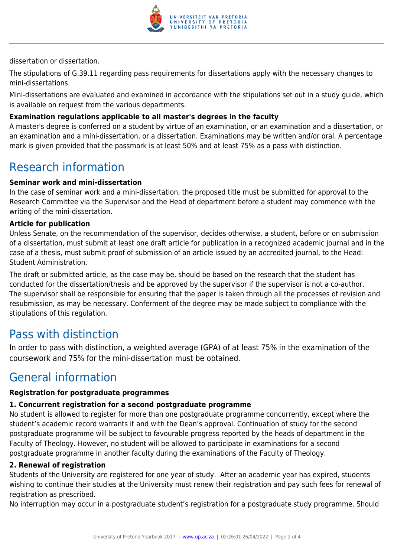

dissertation or dissertation.

The stipulations of G.39.11 regarding pass requirements for dissertations apply with the necessary changes to mini-dissertations.

Mini-dissertations are evaluated and examined in accordance with the stipulations set out in a study guide, which is available on request from the various departments.

#### **Examination regulations applicable to all master's degrees in the faculty**

A master's degree is conferred on a student by virtue of an examination, or an examination and a dissertation, or an examination and a mini-dissertation, or a dissertation. Examinations may be written and/or oral. A percentage mark is given provided that the passmark is at least 50% and at least 75% as a pass with distinction.

### Research information

#### **Seminar work and mini-dissertation**

In the case of seminar work and a mini-dissertation, the proposed title must be submitted for approval to the Research Committee via the Supervisor and the Head of department before a student may commence with the writing of the mini-dissertation.

#### **Article for publication**

Unless Senate, on the recommendation of the supervisor, decides otherwise, a student, before or on submission of a dissertation, must submit at least one draft article for publication in a recognized academic journal and in the case of a thesis, must submit proof of submission of an article issued by an accredited journal, to the Head: Student Administration.

The draft or submitted article, as the case may be, should be based on the research that the student has conducted for the dissertation/thesis and be approved by the supervisor if the supervisor is not a co-author. The supervisor shall be responsible for ensuring that the paper is taken through all the processes of revision and resubmission, as may be necessary. Conferment of the degree may be made subject to compliance with the stipulations of this regulation.

### Pass with distinction

In order to pass with distinction, a weighted average (GPA) of at least 75% in the examination of the coursework and 75% for the mini-dissertation must be obtained.

## General information

#### **Registration for postgraduate programmes**

#### **1. Concurrent registration for a second postgraduate programme**

No student is allowed to register for more than one postgraduate programme concurrently, except where the student's academic record warrants it and with the Dean's approval. Continuation of study for the second postgraduate programme will be subject to favourable progress reported by the heads of department in the Faculty of Theology. However, no student will be allowed to participate in examinations for a second postgraduate programme in another faculty during the examinations of the Faculty of Theology.

#### **2. Renewal of registration**

Students of the University are registered for one year of study. After an academic year has expired, students wishing to continue their studies at the University must renew their registration and pay such fees for renewal of registration as prescribed.

No interruption may occur in a postgraduate student's registration for a postgraduate study programme. Should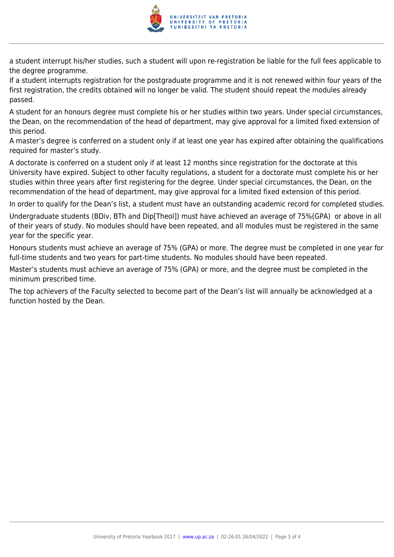

a student interrupt his/her studies, such a student will upon re-registration be liable for the full fees applicable to the degree programme.

If a student interrupts registration for the postgraduate programme and it is not renewed within four years of the first registration, the credits obtained will no longer be valid. The student should repeat the modules already passed.

A student for an honours degree must complete his or her studies within two years. Under special circumstances, the Dean, on the recommendation of the head of department, may give approval for a limited fixed extension of this period.

A master's degree is conferred on a student only if at least one year has expired after obtaining the qualifications required for master's study.

A doctorate is conferred on a student only if at least 12 months since registration for the doctorate at this University have expired. Subject to other faculty regulations, a student for a doctorate must complete his or her studies within three years after first registering for the degree. Under special circumstances, the Dean, on the recommendation of the head of department, may give approval for a limited fixed extension of this period.

In order to qualify for the Dean's list, a student must have an outstanding academic record for completed studies.

Undergraduate students (BDiv, BTh and Dip[Theol]) must have achieved an average of 75%(GPA) or above in all of their years of study. No modules should have been repeated, and all modules must be registered in the same year for the specific year.

Honours students must achieve an average of 75% (GPA) or more. The degree must be completed in one year for full-time students and two years for part-time students. No modules should have been repeated.

Master's students must achieve an average of 75% (GPA) or more, and the degree must be completed in the minimum prescribed time.

The top achievers of the Faculty selected to become part of the Dean's list will annually be acknowledged at a function hosted by the Dean.